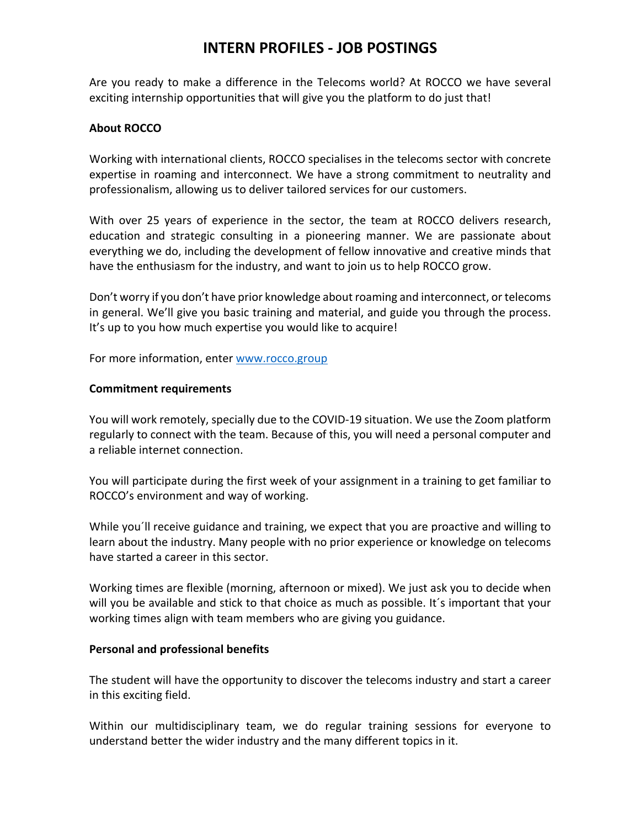# **INTERN PROFILES - JOB POSTINGS**

Are you ready to make a difference in the Telecoms world? At ROCCO we have several exciting internship opportunities that will give you the platform to do just that!

### **About ROCCO**

Working with international clients, ROCCO specialises in the telecoms sector with concrete expertise in roaming and interconnect. We have a strong commitment to neutrality and professionalism, allowing us to deliver tailored services for our customers.

With over 25 years of experience in the sector, the team at ROCCO delivers research, education and strategic consulting in a pioneering manner. We are passionate about everything we do, including the development of fellow innovative and creative minds that have the enthusiasm for the industry, and want to join us to help ROCCO grow.

Don't worry if you don't have prior knowledge about roaming and interconnect, or telecoms in general. We'll give you basic training and material, and guide you through the process. It's up to you how much expertise you would like to acquire!

For more information, enter www.rocco.group

#### **Commitment requirements**

You will work remotely, specially due to the COVID-19 situation. We use the Zoom platform regularly to connect with the team. Because of this, you will need a personal computer and a reliable internet connection.

You will participate during the first week of your assignment in a training to get familiar to ROCCO's environment and way of working.

While you´ll receive guidance and training, we expect that you are proactive and willing to learn about the industry. Many people with no prior experience or knowledge on telecoms have started a career in this sector.

Working times are flexible (morning, afternoon or mixed). We just ask you to decide when will you be available and stick to that choice as much as possible. It´s important that your working times align with team members who are giving you guidance.

#### **Personal and professional benefits**

The student will have the opportunity to discover the telecoms industry and start a career in this exciting field.

Within our multidisciplinary team, we do regular training sessions for everyone to understand better the wider industry and the many different topics in it.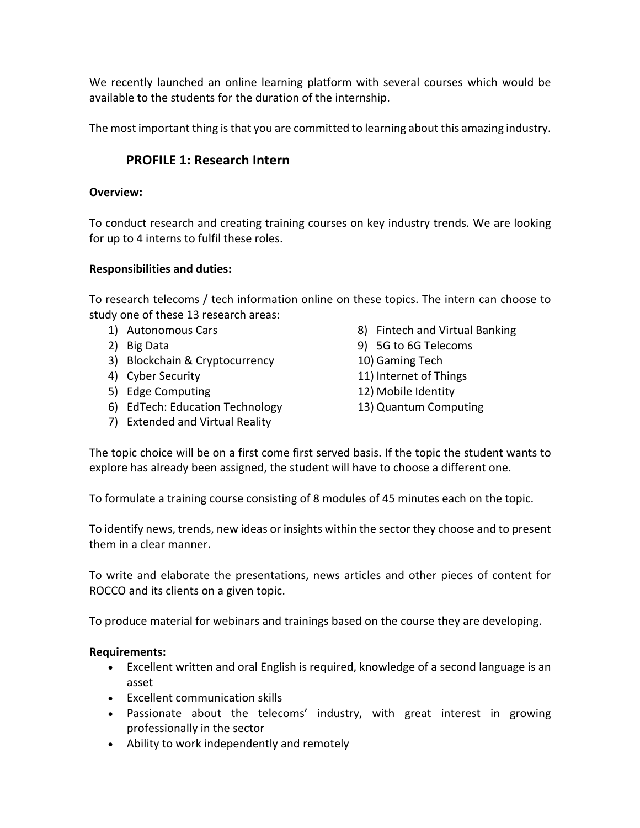We recently launched an online learning platform with several courses which would be available to the students for the duration of the internship.

The most important thing is that you are committed to learning about this amazing industry.

# **PROFILE 1: Research Intern**

#### **Overview:**

To conduct research and creating training courses on key industry trends. We are looking for up to 4 interns to fulfil these roles.

#### **Responsibilities and duties:**

To research telecoms / tech information online on these topics. The intern can choose to study one of these 13 research areas:

- 1) Autonomous Cars
- 2) Big Data
- 3) Blockchain & Cryptocurrency
- 4) Cyber Security
- 5) Edge Computing
- 6) EdTech: Education Technology
- 7) Extended and Virtual Reality
- 8) Fintech and Virtual Banking
- 9) 5G to 6G Telecoms
- 10) Gaming Tech
- 11) Internet of Things
- 12) Mobile Identity
- 13) Quantum Computing

The topic choice will be on a first come first served basis. If the topic the student wants to explore has already been assigned, the student will have to choose a different one.

To formulate a training course consisting of 8 modules of 45 minutes each on the topic.

To identify news, trends, new ideas or insights within the sector they choose and to present them in a clear manner.

To write and elaborate the presentations, news articles and other pieces of content for ROCCO and its clients on a given topic.

To produce material for webinars and trainings based on the course they are developing.

### **Requirements:**

- Excellent written and oral English is required, knowledge of a second language is an asset
- Excellent communication skills
- Passionate about the telecoms' industry, with great interest in growing professionally in the sector
- Ability to work independently and remotely